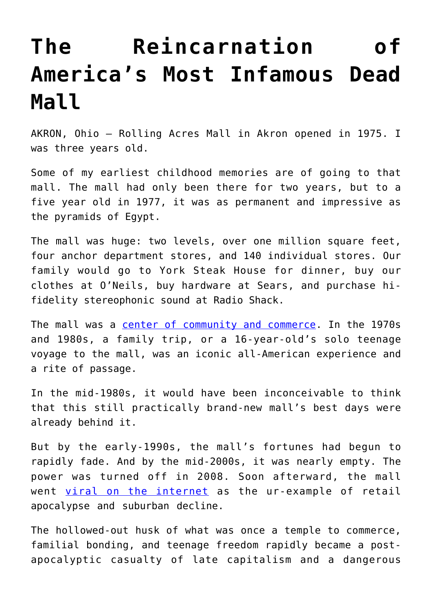## **[The Reincarnation of](https://intellectualtakeout.org/2019/08/the-reincarnation-of-americas-most-infamous-dead-mall/) [America's Most Infamous Dead](https://intellectualtakeout.org/2019/08/the-reincarnation-of-americas-most-infamous-dead-mall/) [Mall](https://intellectualtakeout.org/2019/08/the-reincarnation-of-americas-most-infamous-dead-mall/)**

AKRON, Ohio – Rolling Acres Mall in Akron opened in 1975. I was three years old.

Some of my earliest childhood memories are of going to that mall. The mall had only been there for two years, but to a five year old in 1977, it was as permanent and impressive as the pyramids of Egypt.

The mall was huge: two levels, over one million square feet, four anchor department stores, and 140 individual stores. Our family would go to York Steak House for dinner, buy our clothes at O'Neils, buy hardware at Sears, and purchase hifidelity stereophonic sound at Radio Shack.

The mall was a [center of community and commerce.](https://t.umblr.com/redirect?z=https%3A%2F%2Fwww.ohio.com%2Fphotogallery%2FOH%2F20190205%2FNEWS%2F201009995%2FPH%2F1&t=YTMyOTZmNGU3MjFkYWRlYWUwMDhmYjkzNjhjM2Y0MzYzZGY0MjRlMSxXZEJwN1Qwag%3D%3D&b=t%3A27jrVa-W-hSNQdoB1kzNQQ&p=https%3A%2F%2Fthestile1972.tumblr.com%2Fpost%2F186656261920%2Fthe-reincarnation-of-americas-most-infamous-dead&m=1) In the 1970s and 1980s, a family trip, or a 16-year-old's solo teenage voyage to the mall, was an iconic all-American experience and a rite of passage.

In the mid-1980s, it would have been inconceivable to think that this still practically brand-new mall's best days were already behind it.

But by the early-1990s, the mall's fortunes had begun to rapidly fade. And by the mid-2000s, it was nearly empty. The power was turned off in 2008. Soon afterward, the mall went [viral on the internet](https://t.umblr.com/redirect?z=https%3A%2F%2Fmashable.com%2F2015%2F10%2F02%2Fabandoned-mall-seph-lawless%2F&t=MWQ0OGRkN2ExMmNjNTY1NTdmZTI4MTYxZTEzZThlNmViNTllMjczZCxXZEJwN1Qwag%3D%3D&b=t%3A27jrVa-W-hSNQdoB1kzNQQ&p=https%3A%2F%2Fthestile1972.tumblr.com%2Fpost%2F186656261920%2Fthe-reincarnation-of-americas-most-infamous-dead&m=1) as the ur-example of retail apocalypse and suburban decline.

The hollowed-out husk of what was once a temple to commerce, familial bonding, and teenage freedom rapidly became a postapocalyptic casualty of late capitalism and a dangerous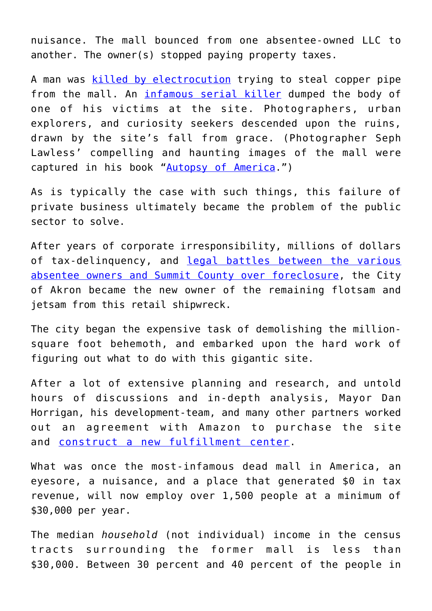nuisance. The mall bounced from one absentee-owned LLC to another. The owner(s) stopped paying property taxes.

A man was [killed by electrocution](https://t.umblr.com/redirect?z=https%3A%2F%2Fwww.cleveland.com%2Fmetro%2F2011%2F04%2Fwould-be_copper_thief_electroc.html&t=YjNmMzk3MGQxN2ZiZjljNjc4NTQxMjU3NTJlMGIzODk2NWFmOWJhNyxXZEJwN1Qwag%3D%3D&b=t%3A27jrVa-W-hSNQdoB1kzNQQ&p=https%3A%2F%2Fthestile1972.tumblr.com%2Fpost%2F186656261920%2Fthe-reincarnation-of-americas-most-infamous-dead&m=1) trying to steal copper pipe from the mall. An [infamous serial killer](https://t.umblr.com/redirect?z=https%3A%2F%2Fwww.gq.com%2Fstory%2Fcraigslist-killers&t=MDUxNTFmMTlhYTYxNTc5Mjc0MjVlNzFiOGM2MjQ5NDQ1MmRmMGVkNyxXZEJwN1Qwag%3D%3D&b=t%3A27jrVa-W-hSNQdoB1kzNQQ&p=https%3A%2F%2Fthestile1972.tumblr.com%2Fpost%2F186656261920%2Fthe-reincarnation-of-americas-most-infamous-dead&m=1) dumped the body of one of his victims at the site. Photographers, urban explorers, and curiosity seekers descended upon the ruins, drawn by the site's fall from grace. (Photographer Seph Lawless' compelling and haunting images of the mall were captured in his book ["Autopsy of America.](https://t.umblr.com/redirect?z=https%3A%2F%2Fwww.amazon.com%2FAutopsy-America-Nation-Seph-Lawless%2Fdp%2F1908211490&t=YzE1MTZhYTIzNDc4MGY1M2JlNjA5MTk5MzUzYjc1Mjg5ZmUyZWVhNCxXZEJwN1Qwag%3D%3D&b=t%3A27jrVa-W-hSNQdoB1kzNQQ&p=https%3A%2F%2Fthestile1972.tumblr.com%2Fpost%2F186656261920%2Fthe-reincarnation-of-americas-most-infamous-dead&m=1)")

As is typically the case with such things, this failure of private business ultimately became the problem of the public sector to solve.

After years of corporate irresponsibility, millions of dollars of tax-delinquency, and [legal battles between the various](https://t.umblr.com/redirect?z=https%3A%2F%2Fwww.ohio.com%2Farticle%2F20140702%2FNEWS%2F307029239&t=ZGZkOWUyZjExNzFlNTVkOGY5N2Q1MjVkY2Y0NmM3NGNkODdjNTAxYSxXZEJwN1Qwag%3D%3D&b=t%3A27jrVa-W-hSNQdoB1kzNQQ&p=https%3A%2F%2Fthestile1972.tumblr.com%2Fpost%2F186656261920%2Fthe-reincarnation-of-americas-most-infamous-dead&m=1) [absentee owners and Summit County over foreclosure](https://t.umblr.com/redirect?z=https%3A%2F%2Fwww.ohio.com%2Farticle%2F20140702%2FNEWS%2F307029239&t=ZGZkOWUyZjExNzFlNTVkOGY5N2Q1MjVkY2Y0NmM3NGNkODdjNTAxYSxXZEJwN1Qwag%3D%3D&b=t%3A27jrVa-W-hSNQdoB1kzNQQ&p=https%3A%2F%2Fthestile1972.tumblr.com%2Fpost%2F186656261920%2Fthe-reincarnation-of-americas-most-infamous-dead&m=1), the City of Akron became the new owner of the remaining flotsam and jetsam from this retail shipwreck.

The city began the expensive task of demolishing the millionsquare foot behemoth, and embarked upon the hard work of figuring out what to do with this gigantic site.

After a lot of extensive planning and research, and untold hours of discussions and in-depth analysis, Mayor Dan Horrigan, his development-team, and many other partners worked out an agreement with Amazon to purchase the site and [construct a new fulfillment center](https://t.umblr.com/redirect?z=https%3A%2F%2Fwww.ideastream.org%2Fnews%2Famazon-opening-akron-fulfillment-center&t=Zjg3NTU2MDhhYTdmYTVhMmQ2OTAwNzE2NjI0ZDM0NGY2ZWExYThkOSxXZEJwN1Qwag%3D%3D&b=t%3A27jrVa-W-hSNQdoB1kzNQQ&p=https%3A%2F%2Fthestile1972.tumblr.com%2Fpost%2F186656261920%2Fthe-reincarnation-of-americas-most-infamous-dead&m=1).

What was once the most-infamous dead mall in America, an eyesore, a nuisance, and a place that generated \$0 in tax revenue, will now employ over 1,500 people at a minimum of \$30,000 per year.

The median *household* (not individual) income in the census tracts surrounding the former mall is less than \$30,000. Between 30 percent and 40 percent of the people in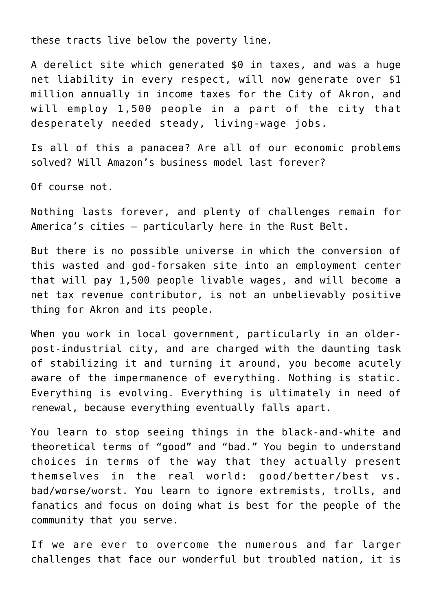these tracts live below the poverty line.

A derelict site which generated \$0 in taxes, and was a huge net liability in every respect, will now generate over \$1 million annually in income taxes for the City of Akron, and will employ 1,500 people in a part of the city that desperately needed steady, living-wage jobs.

Is all of this a panacea? Are all of our economic problems solved? Will Amazon's business model last forever?

Of course not.

Nothing lasts forever, and plenty of challenges remain for America's cities – particularly here in the Rust Belt.

But there is no possible universe in which the conversion of this wasted and god-forsaken site into an employment center that will pay 1,500 people livable wages, and will become a net tax revenue contributor, is not an unbelievably positive thing for Akron and its people.

When you work in local government, particularly in an olderpost-industrial city, and are charged with the daunting task of stabilizing it and turning it around, you become acutely aware of the impermanence of everything. Nothing is static. Everything is evolving. Everything is ultimately in need of renewal, because everything eventually falls apart.

You learn to stop seeing things in the black-and-white and theoretical terms of "good" and "bad." You begin to understand choices in terms of the way that they actually present themselves in the real world: good/better/best vs. bad/worse/worst. You learn to ignore extremists, trolls, and fanatics and focus on doing what is best for the people of the community that you serve.

If we are ever to overcome the numerous and far larger challenges that face our wonderful but troubled nation, it is